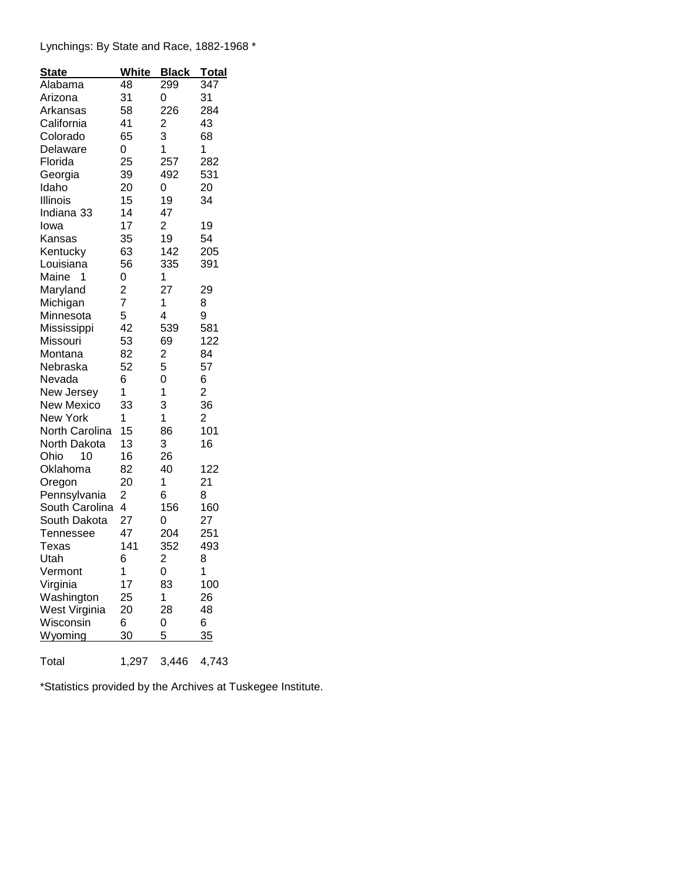## Lynchings: By State and Race, 1882-1968 \*

| <b>State</b>      | <b>White</b>   | <b>Black</b>            | <u>Total</u>   |
|-------------------|----------------|-------------------------|----------------|
| Alabama           | 48             | 299                     | 347            |
| Arizona           | 31             | 0                       | 31             |
| Arkansas          | 58             | 226                     | 284            |
| California        | 41             | $\overline{\mathbf{c}}$ | 43             |
| Colorado          | 65             | 3                       | 68             |
| Delaware          | 0              | 1                       | 1              |
| Florida           | 25             | 257                     | 282            |
| Georgia           | 39             | 492                     | 531            |
| Idaho             | 20             | 0                       | 20             |
| Illinois          | 15             | 19                      | 34             |
| Indiana 33        | 14             | 47                      |                |
| lowa              | 17             | 2                       | 19             |
| Kansas            | 35             | 19                      | 54             |
| Kentucky          | 63             | 142                     | 205            |
| Louisiana         | 56             | 335                     | 391            |
| Maine<br>1        | 0              | 1                       |                |
| Maryland          | $\overline{c}$ | 27                      | 29             |
| Michigan          | 7              | 1                       | 8              |
| Minnesota         | 5              | 4                       | 9              |
| Mississippi       | 42             | 539                     | 581            |
| Missouri          | 53             | 69                      | 122            |
| Montana           | 82             | $\overline{\mathbf{c}}$ | 84             |
| Nebraska          | 52             | 5                       | 57             |
| Nevada            | 6              | 0                       | 6              |
| New Jersey        | 1              | 1                       | $\overline{2}$ |
| <b>New Mexico</b> | 33             | 3                       | 36             |
| New York          | 1              | 1                       | $\overline{c}$ |
| North Carolina    | 15             | 86                      | 101            |
| North Dakota      | 13             | 3                       | 16             |
| Ohio<br>10        | 16             | 26                      |                |
| Oklahoma          | 82             | 40                      | 122            |
| Oregon            | 20             | 1                       | 21             |
| Pennsylvania      | 2              | 6                       | 8              |
| South Carolina    | 4              | 156                     | 160            |
| South Dakota      | 27             | 0                       | 27             |
| Tennessee         | 47             | 204                     | 251            |
| Texas             | 141            | 352                     | 493            |
| Utah              | 6              | $\overline{c}$          | 8              |
| Vermont           | 1              | 0                       | 1              |
| Virginia          | 17             | 83                      | 100            |
| Washington        | 25             | 1                       | 26             |
| West Virginia     | 20             | 28                      | 48             |
| Wisconsin         | 6              | 0                       | 6              |
| <u>Wyoming</u>    | 30             | 5                       | 35             |
| Total             | 1,297          | 3,446                   | 4,743          |

\*Statistics provided by the Archives at Tuskegee Institute.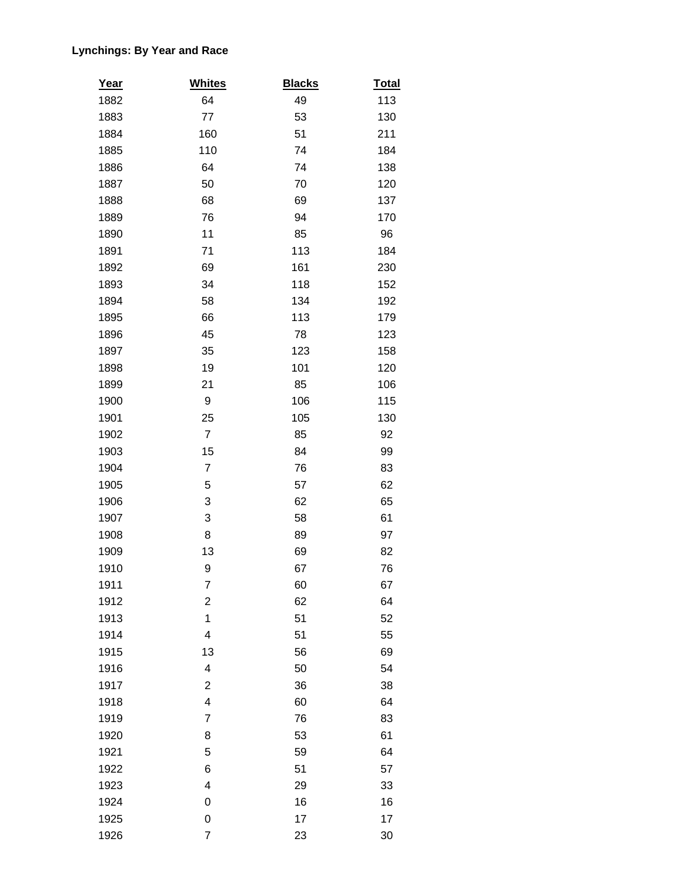## **Lynchings: By Year and Race**

| <u>Year</u> | <b>Whites</b>            | <b>Blacks</b> | <b>Total</b> |
|-------------|--------------------------|---------------|--------------|
| 1882        | 64                       | 49            | 113          |
| 1883        | 77                       | 53            | 130          |
| 1884        | 160                      | 51            | 211          |
| 1885        | 110                      | 74            | 184          |
| 1886        | 64                       | 74            | 138          |
| 1887        | 50                       | 70            | 120          |
| 1888        | 68                       | 69            | 137          |
| 1889        | 76                       | 94            | 170          |
| 1890        | 11                       | 85            | 96           |
| 1891        | 71                       | 113           | 184          |
| 1892        | 69                       | 161           | 230          |
| 1893        | 34                       | 118           | 152          |
| 1894        | 58                       | 134           | 192          |
| 1895        | 66                       | 113           | 179          |
| 1896        | 45                       | 78            | 123          |
| 1897        | 35                       | 123           | 158          |
| 1898        | 19                       | 101           | 120          |
| 1899        | 21                       | 85            | 106          |
| 1900        | 9                        | 106           | 115          |
| 1901        | 25                       | 105           | 130          |
| 1902        | $\overline{7}$           | 85            | 92           |
| 1903        | 15                       | 84            | 99           |
| 1904        | $\overline{7}$           | 76            | 83           |
| 1905        | 5                        | 57            | 62           |
| 1906        | 3                        | 62            | 65           |
| 1907        | 3                        | 58            | 61           |
| 1908        | 8                        | 89            | 97           |
| 1909        | 13                       | 69            | 82           |
| 1910        | 9                        | 67            | 76           |
| 1911        | 7                        | 60            | 67           |
| 1912        | $\overline{\mathbf{c}}$  | 62            | 64           |
| 1913        | $\mathbf 1$              | 51            | 52           |
| 1914        | $\overline{\mathcal{A}}$ | 51            | 55           |
| 1915        | 13                       | 56            | 69           |
| 1916        | 4                        | 50            | 54           |
| 1917        | $\overline{c}$           | 36            | 38           |
| 1918        | 4                        | 60            | 64           |
| 1919        | $\overline{7}$           | 76            | 83           |
| 1920        | 8                        | 53            | 61           |
| 1921        | 5                        | 59            | 64           |
| 1922        | 6                        | 51            | 57           |
| 1923        | $\overline{\mathbf{4}}$  | 29            | 33           |
| 1924        | 0                        | 16            | 16           |
| 1925        | 0                        | 17            | 17           |
| 1926        | $\boldsymbol{7}$         | 23            | 30           |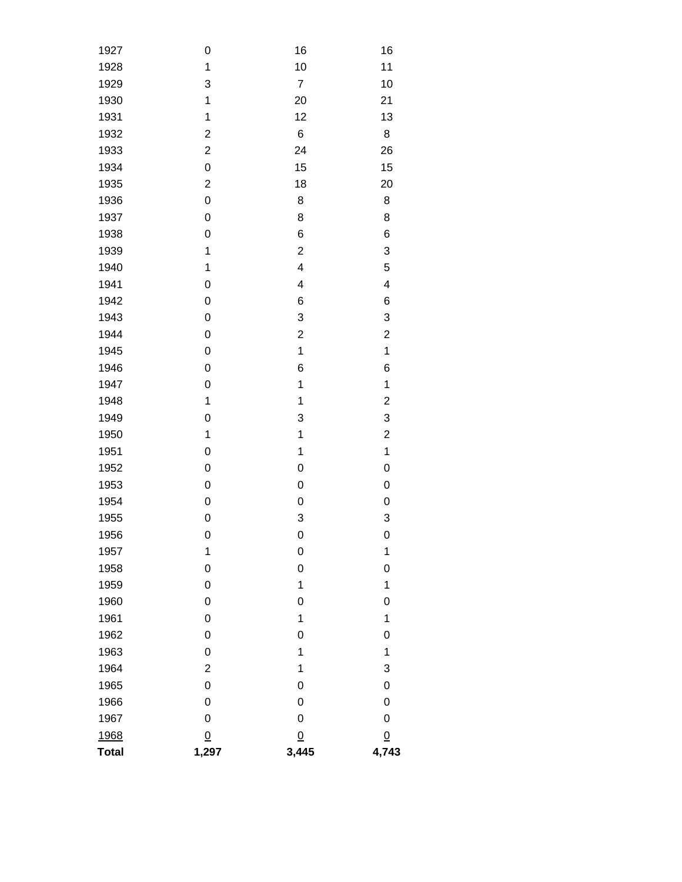| 1927         | 0              | 16               | 16                      |  |
|--------------|----------------|------------------|-------------------------|--|
| 1928         | $\mathbf 1$    | 10               | 11                      |  |
| 1929         | 3              | $\boldsymbol{7}$ | 10                      |  |
| 1930         | $\mathbf 1$    | 20               | 21                      |  |
| 1931         | $\mathbf 1$    | 12               | 13                      |  |
| 1932         | $\overline{c}$ | 6                | 8                       |  |
| 1933         | $\overline{c}$ | 24               | 26                      |  |
| 1934         | 0              | 15               | 15                      |  |
| 1935         | $\overline{c}$ | 18               | 20                      |  |
| 1936         | 0              | 8                | 8                       |  |
| 1937         | 0              | 8                | 8                       |  |
| 1938         | 0              | 6                | 6                       |  |
| 1939         | $\mathbf 1$    | $\overline{c}$   | 3                       |  |
| 1940         | $\mathbf 1$    | 4                | 5                       |  |
| 1941         | 0              | 4                | 4                       |  |
| 1942         | 0              | 6                | 6                       |  |
| 1943         | 0              | 3                | 3                       |  |
| 1944         | 0              | $\overline{c}$   | $\overline{\mathbf{c}}$ |  |
| 1945         | 0              | $\mathbf 1$      | $\mathbf 1$             |  |
| 1946         | 0              | 6                | 6                       |  |
| 1947         | 0              | 1                | $\mathbf 1$             |  |
| 1948         | $\mathbf 1$    | 1                | $\overline{\mathbf{c}}$ |  |
| 1949         | 0              | 3                | 3                       |  |
| 1950         | $\mathbf 1$    | 1                | $\overline{\mathbf{c}}$ |  |
| 1951         | 0              | 1                | $\mathbf 1$             |  |
| 1952         | 0              | 0                | $\mathbf 0$             |  |
| 1953         | 0              | 0                | 0                       |  |
| 1954         | 0              | $\mathbf 0$      | $\mathbf 0$             |  |
| 1955         | 0              | 3                | 3                       |  |
| 1956         | 0              | $\mathbf 0$      | 0                       |  |
| 1957         | $\mathbf 1$    | 0                | 1                       |  |
| 1958         | 0              | $\mathbf 0$      | 0                       |  |
| 1959         | 0              | 1                | $\mathbf 1$             |  |
| 1960         | 0              | 0                | $\mathsf{O}\xspace$     |  |
| 1961         | 0              | 1                | $\mathbf 1$             |  |
| 1962         | 0              | 0                | $\mathsf{O}\xspace$     |  |
| 1963         | 0              | 1                | $\mathbf 1$             |  |
| 1964         | $\overline{c}$ | 1                | 3                       |  |
| 1965         | 0              | 0                | 0                       |  |
| 1966         | 0              | 0                | 0                       |  |
| 1967         | 0              | 0                | 0                       |  |
| 1968         | $\overline{0}$ | $\underline{0}$  | $\underline{0}$         |  |
| <b>Total</b> | 1,297          | 3,445            | 4,743                   |  |